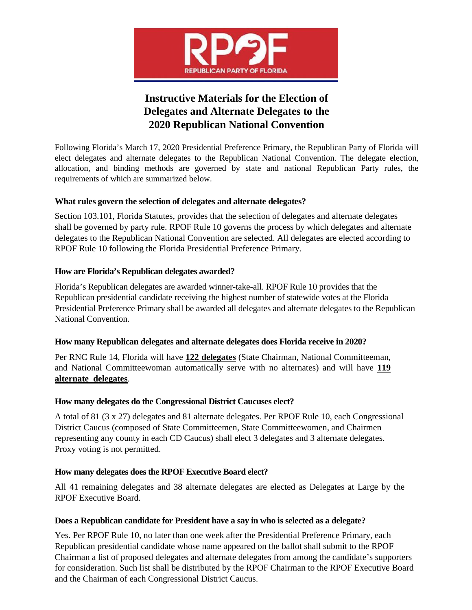

# **Instructive Materials for the Election of Delegates and Alternate Delegates to the 2020 Republican National Convention**

Following Florida's March 17, 2020 Presidential Preference Primary, the Republican Party of Florida will elect delegates and alternate delegates to the Republican National Convention. The delegate election, allocation, and binding methods are governed by state and national Republican Party rules, the requirements of which are summarized below.

## **What rules govern the selection of delegates and alternate delegates?**

Section 103.101, Florida Statutes, provides that the selection of delegates and alternate delegates shall be governed by party rule. RPOF Rule 10 governs the process by which delegates and alternate delegates to the Republican National Convention are selected. All delegates are elected according to RPOF Rule 10 following the Florida Presidential Preference Primary.

## **How are Florida's Republican delegates awarded?**

Florida's Republican delegates are awarded winner-take-all. RPOF Rule 10 provides that the Republican presidential candidate receiving the highest number of statewide votes at the Florida Presidential Preference Primary shall be awarded all delegates and alternate delegates to the Republican National Convention.

#### **How many Republican delegates and alternate delegates does Florida receive in 2020?**

Per RNC Rule 14, Florida will have **122 delegates** (State Chairman, National Committeeman, and National Committeewoman automatically serve with no alternates) and will have **119 alternate delegates**.

# **How many delegates do the Congressional District Caucuses elect?**

A total of 81 (3 x 27) delegates and 81 alternate delegates. Per RPOF Rule 10, each Congressional District Caucus (composed of State Committeemen, State Committeewomen, and Chairmen representing any county in each CD Caucus) shall elect 3 delegates and 3 alternate delegates. Proxy voting is not permitted.

# **How many delegates does the RPOF Executive Board elect?**

All 41 remaining delegates and 38 alternate delegates are elected as Delegates at Large by the RPOF Executive Board.

#### **Does a Republican candidate for President have a say in who is selected as a delegate?**

Yes. Per RPOF Rule 10, no later than one week after the Presidential Preference Primary, each Republican presidential candidate whose name appeared on the ballot shall submit to the RPOF Chairman a list of proposed delegates and alternate delegates from among the candidate's supporters for consideration. Such list shall be distributed by the RPOF Chairman to the RPOF Executive Board and the Chairman of each Congressional District Caucus.